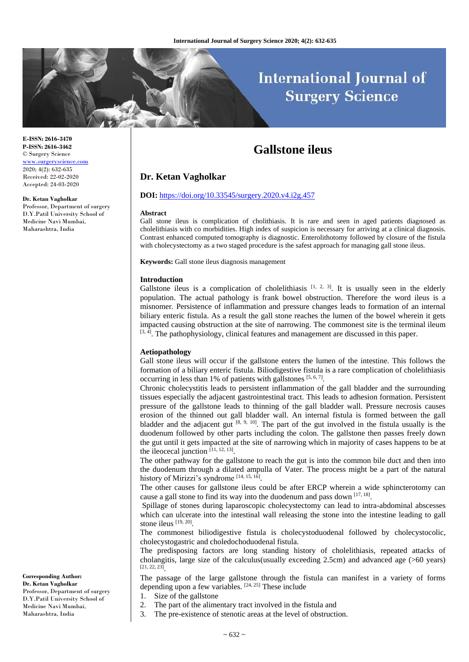# **International Journal of Surgery Science**

## **Gallstone ileus**

## **Dr. Ketan Vagholkar**

#### **DOI:** <https://doi.org/10.33545/surgery.2020.v4.i2g.457>

#### **Abstract**

Gall stone ileus is complication of cholithiasis. It is rare and seen in aged patients diagnosed as cholelithiasis with co morbidities. High index of suspicion is necessary for arriving at a clinical diagnosis. Contrast enhanced computed tomography is diagnostic. Enterolithotomy followed by closure of the fistula with cholecystectomy as a two staged procedure is the safest approach for managing gall stone ileus.

**Keywords:** Gall stone ileus diagnosis management

#### **Introduction**

Gallstone ileus is a complication of cholelithiasis  $[1, 2, 3]$ . It is usually seen in the elderly population. The actual pathology is frank bowel obstruction. Therefore the word ileus is a misnomer. Persistence of inflammation and pressure changes leads to formation of an internal biliary enteric fistula. As a result the gall stone reaches the lumen of the bowel wherein it gets impacted causing obstruction at the site of narrowing. The commonest site is the terminal ileum  $[3, 4]$ . The pathophysiology, clinical features and management are discussed in this paper.

## **Aetiopathology**

Gall stone ileus will occur if the gallstone enters the lumen of the intestine. This follows the formation of a biliary enteric fistula. Biliodigestive fistula is a rare complication of cholelithiasis occurring in less than 1% of patients with gallstones [5, 6, 7].

Chronic cholecystitis leads to persistent inflammation of the gall bladder and the surrounding tissues especially the adjacent gastrointestinal tract. This leads to adhesion formation. Persistent pressure of the gallstone leads to thinning of the gall bladder wall. Pressure necrosis causes erosion of the thinned out gall bladder wall. An internal fistula is formed between the gall bladder and the adjacent gut  $[8, 9, 10]$ . The part of the gut involved in the fistula usually is the duodenum followed by other parts including the colon. The gallstone then passes freely down the gut until it gets impacted at the site of narrowing which in majority of cases happens to be at the ileocecal junction  $[11, 12, 13]$ .

The other pathway for the gallstone to reach the gut is into the common bile duct and then into the duodenum through a dilated ampulla of Vater. The process might be a part of the natural history of Mirizzi's syndrome [14, 15, 16].

The other causes for gallstone ileus could be after ERCP wherein a wide sphincterotomy can cause a gall stone to find its way into the duodenum and pass down  $[17, 18]$ .

Spillage of stones during laparoscopic cholecystectomy can lead to intra-abdominal abscesses which can ulcerate into the intestinal wall releasing the stone into the intestine leading to gall stone ileus [19, 20].

The commonest biliodigestive fistula is cholecystoduodenal followed by cholecystocolic, cholecystogastric and choledochoduodenal fistula.

The predisposing factors are long standing history of cholelithiasis, repeated attacks of cholangitis, large size of the calculus(usually exceeding 2.5cm) and advanced age (>60 years) [21, 22, 23] .

The passage of the large gallstone through the fistula can manifest in a variety of forms depending upon a few variables.  $[24, 25]$  These include

1. Size of the gallstone

- 2. The part of the alimentary tract involved in the fistula and
- 3. The pre-existence of stenotic areas at the level of obstruction.

© Surgery Science [www.surgeryscience.com](http://www.surgeryscience.com/) 2020; 4(2): 632-635 Received: 22-02-2020 Accepted: 24-03-2020

#### **Dr. Ketan Vagholkar**

**E-ISSN: 2616-3470 P-ISSN: 2616-3462**

Professor, Department of surgery D.Y.Patil University School of Medicine Navi Mumbai, Maharashtra, India

**Corresponding Author: Dr. Ketan Vagholkar**

Professor, Department of surgery D.Y.Patil University School of Medicine Navi Mumbai, Maharashtra, India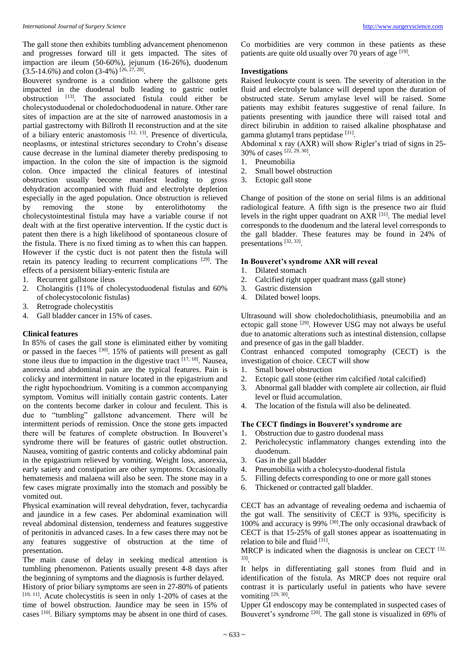The gall stone then exhibits tumbling advancement phenomenon and progresses forward till it gets impacted. The sites of impaction are ileum (50-60%), jejunum (16-26%), duodenum  $(3.5-14.6\%)$  and colon  $(3-4\%)$  [26, 27, 28].

Bouveret syndrome is a condition where the gallstone gets impacted in the duodenal bulb leading to gastric outlet obstruction [13]. The associated fistula could either be cholecystoduodenal or choledochoduodenal in nature. Other rare sites of impaction are at the site of narrowed anastomosis in a partial gastrectomy with Billroth II reconstruction and at the site of a biliary enteric anastomosis [12, 13]. Presence of diverticula, neoplasms, or intestinal strictures secondary to Crohn's disease cause decrease in the luminal diameter thereby predisposing to impaction. In the colon the site of impaction is the sigmoid colon. Once impacted the clinical features of intestinal obstruction usually become manifest leading to gross dehydration accompanied with fluid and electrolyte depletion especially in the aged population. Once obstruction is relieved by removing the stone by enterolithotomy the cholecystointestinal fistula may have a variable course if not dealt with at the first operative intervention. If the cystic duct is patent then there is a high likelihood of spontaneous closure of the fistula. There is no fixed timing as to when this can happen. However if the cystic duct is not patent then the fistula will retain its patency leading to recurrent complications <sup>[29]</sup>. The effects of a persistent biliary-enteric fistula are

- 1. Recurrent gallstone ileus
- 2. Cholangitis (11% of cholecystoduodenal fistulas and 60% of cholecystocolonic fistulas)
- 3. Retrograde cholecystitis
- 4. Gall bladder cancer in 15% of cases.

#### **Clinical features**

In 85% of cases the gall stone is eliminated either by vomiting or passed in the faeces [30]. 15% of patients will present as gall stone ileus due to impaction in the digestive tract  $[17, 18]$ . Nausea, anorexia and abdominal pain are the typical features. Pain is colicky and intermittent in nature located in the epigastrium and the right hypochondrium. Vomiting is a common accompanying symptom. Vomitus will initially contain gastric contents. Later on the contents become darker in colour and feculent. This is due to "tumbling" gallstone advancement. There will be intermittent periods of remission. Once the stone gets impacted there will be features of complete obstruction. In Bouveret's syndrome there will be features of gastric outlet obstruction. Nausea, vomiting of gastric contents and colicky abdominal pain in the epigastrium relieved by vomiting. Weight loss, anorexia, early satiety and constipation are other symptoms. Occasionally hematemesis and malaena will also be seen. The stone may in a few cases migrate proximally into the stomach and possibly be vomited out.

Physical examination will reveal dehydration, fever, tachycardia and jaundice in a few cases. Per abdominal examination will reveal abdominal distension, tenderness and features suggestive of peritonitis in advanced cases. In a few cases there may not be any features suggestive of obstruction at the time of presentation.

The main cause of delay in seeking medical attention is tumbling phenomenon. Patients usually present 4-8 days after the beginning of symptoms and the diagnosis is further delayed.

History of prior biliary symptoms are seen in 27-80% of patients [10, 11]. Acute cholecystitis is seen in only 1-20% of cases at the time of bowel obstruction. Jaundice may be seen in 15% of cases [10]. Biliary symptoms may be absent in one third of cases.

Co morbidities are very common in these patients as these patients are quite old usually over 70 years of age  $[19]$ .

### **Investigations**

Raised leukocyte count is seen. The severity of alteration in the fluid and electrolyte balance will depend upon the duration of obstructed state. Serum amylase level will be raised. Some patients may exhibit features suggestive of renal failure. In patients presenting with jaundice there will raised total and direct bilirubin in addition to raised alkaline phosphatase and gamma glutamyl trans peptidase [31].

Abdominal x ray (AXR) will show Rigler's triad of signs in 25- 30% of cases [22, 29, 30] .

- 1. Pneumobilia
- 2. Small bowel obstruction
- 3. Ectopic gall stone

Change of position of the stone on serial films is an additional radiological feature. A fifth sign is the presence two air fluid levels in the right upper quadrant on  $AXR$ <sup>[31]</sup>. The medial level corresponds to the duodenum and the lateral level corresponds to the gall bladder. These features may be found in 24% of presentations [32, 33].

### **In Bouveret's syndrome AXR will reveal**

- 1. Dilated stomach
- 2. Calcified right upper quadrant mass (gall stone)
- 3. Gastric distension
- 4. Dilated bowel loops.

Ultrasound will show choledocholithiasis, pneumobilia and an ectopic gall stone [29]. However USG may not always be useful due to anatomic alterations such as intestinal distension, collapse and presence of gas in the gall bladder.

Contrast enhanced computed tomography (CECT) is the investigation of choice. CECT will show

- 1. Small bowel obstruction
- 2. Ectopic gall stone (either rim calcified /total calcified)
- 3. Abnormal gall bladder with complete air collection, air fluid level or fluid accumulation.
- 4. The location of the fistula will also be delineated.

## **The CECT findings in Bouveret's syndrome are**

- 1. Obstruction due to gastro duodenal mass
- 2. Pericholecystic inflammatory changes extending into the duodenum.
- 3. Gas in the gall bladder
- 4. Pneumobilia with a cholecysto-duodenal fistula
- 5. Filling defects corresponding to one or more gall stones
- 6. Thickened or contracted gall bladder.

CECT has an advantage of revealing oedema and ischaemia of the gut wall. The sensitivity of CECT is 93%, specificity is 100% and accuracy is 99%  $[30]$ . The only occasional drawback of CECT is that 15-25% of gall stones appear as isoattenuating in relation to bile and fluid <a>[31]</a>.

MRCP is indicated when the diagnosis is unclear on CECT  $[32, 12]$ 33] .

It helps in differentiating gall stones from fluid and in identification of the fistula. As MRCP does not require oral contrast it is particularly useful in patients who have severe vomiting  $[29, 30]$ .

Upper GI endoscopy may be contemplated in suspected cases of Bouveret's syndrome <sup>[20]</sup>. The gall stone is visualized in 69% of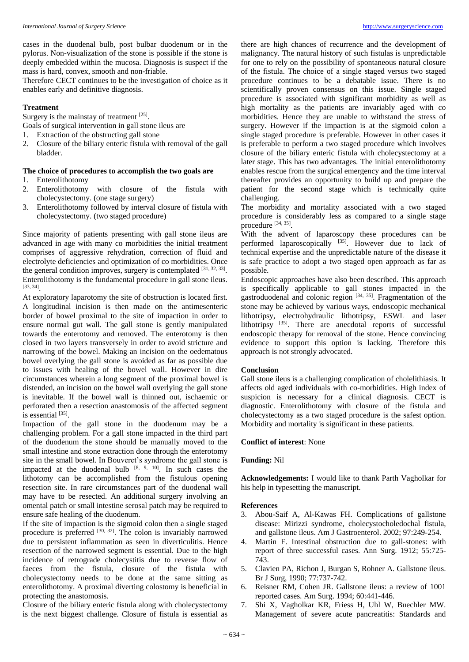cases in the duodenal bulb, post bulbar duodenum or in the pylorus. Non-visualization of the stone is possible if the stone is deeply embedded within the mucosa. Diagnosis is suspect if the mass is hard, convex, smooth and non-friable.

Therefore CECT continues to be the investigation of choice as it enables early and definitive diagnosis.

#### **Treatment**

Surgery is the mainstay of treatment [25].

Goals of surgical intervention in gall stone ileus are

- 1. Extraction of the obstructing gall stone
- 2. Closure of the biliary enteric fistula with removal of the gall bladder.

#### **The choice of procedures to accomplish the two goals are**

- 1. Enterolithotomy
- 2. Enterolithotomy with closure of the fistula with cholecystectomy. (one stage surgery)
- 3. Enterolithotomy followed by interval closure of fistula with cholecystectomy. (two staged procedure)

Since majority of patients presenting with gall stone ileus are advanced in age with many co morbidities the initial treatment comprises of aggressive rehydration, correction of fluid and electrolyte deficiencies and optimization of co morbidities. Once the general condition improves, surgery is contemplated  $[31, 32, 33]$ . Enterolithotomy is the fundamental procedure in gall stone ileus. [33, 34] .

At exploratory laparotomy the site of obstruction is located first. A longitudinal incision is then made on the antimesenteric border of bowel proximal to the site of impaction in order to ensure normal gut wall. The gall stone is gently manipulated towards the enterotomy and removed. The enterotomy is then closed in two layers transversely in order to avoid stricture and narrowing of the bowel. Making an incision on the oedematous bowel overlying the gall stone is avoided as far as possible due to issues with healing of the bowel wall. However in dire circumstances wherein a long segment of the proximal bowel is distended, an incision on the bowel wall overlying the gall stone is inevitable. If the bowel wall is thinned out, ischaemic or perforated then a resection anastomosis of the affected segment is essential [35].

Impaction of the gall stone in the duodenum may be a challenging problem. For a gall stone impacted in the third part of the duodenum the stone should be manually moved to the small intestine and stone extraction done through the enterotomy site in the small bowel. In Bouveret's syndrome the gall stone is impacted at the duodenal bulb  $[8, 9, 10]$ . In such cases the lithotomy can be accomplished from the fistulous opening resection site. In rare circumstances part of the duodenal wall may have to be resected. An additional surgery involving an omental patch or small intestine serosal patch may be required to ensure safe healing of the duodenum.

If the site of impaction is the sigmoid colon then a single staged procedure is preferred  $[30, 32]$ . The colon is invariably narrowed due to persistent inflammation as seen in diverticulitis. Hence resection of the narrowed segment is essential. Due to the high incidence of retrograde cholecystitis due to reverse flow of faeces from the fistula, closure of the fistula with cholecystectomy needs to be done at the same sitting as enterolithotomy. A proximal diverting colostomy is beneficial in protecting the anastomosis.

Closure of the biliary enteric fistula along with cholecystectomy is the next biggest challenge. Closure of fistula is essential as there are high chances of recurrence and the development of malignancy. The natural history of such fistulas is unpredictable for one to rely on the possibility of spontaneous natural closure of the fistula. The choice of a single staged versus two staged procedure continues to be a debatable issue. There is no scientifically proven consensus on this issue. Single staged procedure is associated with significant morbidity as well as high mortality as the patients are invariably aged with co morbidities. Hence they are unable to withstand the stress of surgery. However if the impaction is at the sigmoid colon a single staged procedure is preferable. However in other cases it is preferable to perform a two staged procedure which involves closure of the biliary enteric fistula with cholecystectomy at a later stage. This has two advantages. The initial enterolithotomy enables rescue from the surgical emergency and the time interval thereafter provides an opportunity to build up and prepare the patient for the second stage which is technically quite challenging.

The morbidity and mortality associated with a two staged procedure is considerably less as compared to a single stage procedure [34, 35].

With the advent of laparoscopy these procedures can be performed laparoscopically <sup>[35]</sup>. However due to lack of technical expertise and the unpredictable nature of the disease it is safe practice to adopt a two staged open approach as far as possible.

Endoscopic approaches have also been described. This approach is specifically applicable to gall stones impacted in the gastroduodenal and colonic region  $[34, 35]$ . Fragmentation of the stone may be achieved by various ways, endoscopic mechanical lithotripsy, electrohydraulic lithotripsy, ESWL and laser lithotripsy <sup>[35]</sup>. There are anecdotal reports of successful endoscopic therapy for removal of the stone. Hence convincing evidence to support this option is lacking. Therefore this approach is not strongly advocated.

#### **Conclusion**

Gall stone ileus is a challenging complication of cholelithiasis. It affects old aged individuals with co-morbidities. High index of suspicion is necessary for a clinical diagnosis. CECT is diagnostic. Enterolithotomy with closure of the fistula and cholecystectomy as a two staged procedure is the safest option. Morbidity and mortality is significant in these patients.

### **Conflict of interest**: None

#### **Funding:** Nil

**Acknowledgements:** I would like to thank Parth Vagholkar for his help in typesetting the manuscript.

#### **References**

- 3. Abou-Saif A, Al-Kawas FH. Complications of gallstone disease: Mirizzi syndrome, cholecystocholedochal fistula, and gallstone ileus. Am J Gastroenterol. 2002; 97:249-254.
- 4. Martin F. Intestinal obstruction due to gall-stones: with report of three successful cases. Ann Surg. 1912; 55:725- 743.
- 5. Clavien PA, Richon J, Burgan S, Rohner A. Gallstone ileus. Br J Surg, 1990; 77:737-742.
- 6. Reisner RM, Cohen JR. Gallstone ileus: a review of 1001 reported cases. Am Surg. 1994; 60:441-446.
- 7. Shi X, Vagholkar KR, Friess H, Uhl W, Buechler MW. Management of severe acute pancreatitis: Standards and